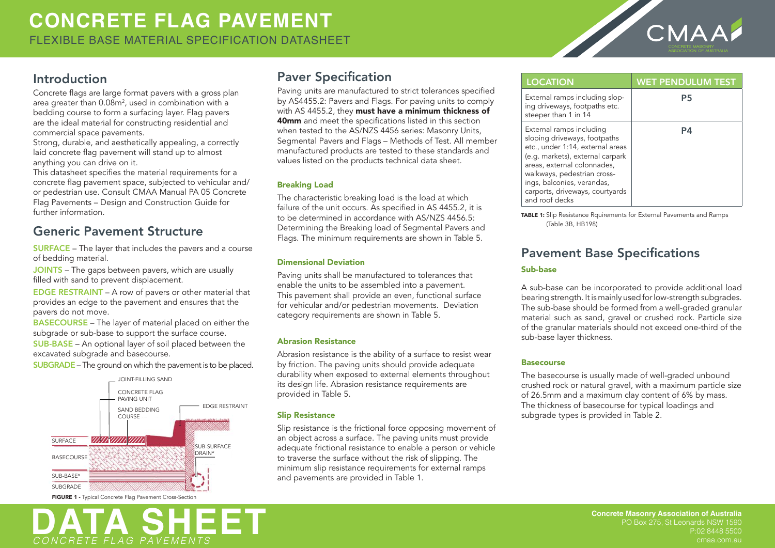

## Introduction

Concrete flags are large format pavers with a gross plan area greater than 0.08m², used in combination with a bedding course to form a surfacing layer. Flag pavers are the ideal material for constructing residential and commercial space pavements.

Strong, durable, and aesthetically appealing, a correctly laid concrete flag pavement will stand up to almost anything you can drive on it.

This datasheet specifies the material requirements for a concrete flag pavement space, subjected to vehicular and/ or pedestrian use. Consult CMAA Manual PA 05 Concrete Flag Pavements – Design and Construction Guide for further information.

## **Generic Pavement Structure**

**SURFACE** – The layer that includes the pavers and a course of bedding material.

JOINTS - The gaps between pavers, which are usually filled with sand to prevent displacement.

EDGE RESTRAINT – A row of pavers or other material that provides an edge to the pavement and ensures that the pavers do not move.

**BASECOURSE** – The laver of material placed on either the subgrade or sub-base to support the surface course. SUB-BASE – An optional layer of soil placed between the excavated subgrade and basecourse.

**SUBGRADE** – The ground on which the pavement is to be placed.



FIGURE 1 - Typical Concrete Flag Pavement Cross-Section



# **Paver Specification**

Paving units are manufactured to strict tolerances specified by AS4455.2: Pavers and Flags. For paving units to comply with AS 4455.2, they must have a minimum thickness of 40mm and meet the specifications listed in this section when tested to the AS/NZS 4456 series: Masonry Units, Segmental Pavers and Flags – Methods of Test. All member manufactured products are tested to these standards and values listed on the products technical data sheet.

### **Breaking Load**

The characteristic breaking load is the load at which failure of the unit occurs. As specified in AS 4455.2, it is to be determined in accordance with AS/NZS 4456.5: Determining the Breaking load of Segmental Pavers and Flags. The minimum requirements are shown in Table 5.

#### **Dimensional Deviation**

Paving units shall be manufactured to tolerances that enable the units to be assembled into a pavement. This pavement shall provide an even, functional surface for vehicular and/or pedestrian movements. Deviation category requirements are shown in Table 5.

## **Abrasion Resistance**

Abrasion resistance is the ability of a surface to resist wear by friction. The paving units should provide adequate durability when exposed to external elements throughout its design life. Abrasion resistance requirements are provided in Table 5.

#### **Slip Resistance**

Slip resistance is the frictional force opposing movement of an object across a surface. The paving units must provide adequate frictional resistance to enable a person or vehicle to traverse the surface without the risk of slipping. The minimum slip resistance requirements for external ramps and pavements are provided in Table 1.

| <b>LOCATION</b>                                                                                                                                                                                                                                                                   | <b>WET PENDULUM TEST</b> |
|-----------------------------------------------------------------------------------------------------------------------------------------------------------------------------------------------------------------------------------------------------------------------------------|--------------------------|
| External ramps including slop-<br>ing driveways, footpaths etc.<br>steeper than 1 in 14                                                                                                                                                                                           | Р5                       |
| External ramps including<br>sloping driveways, footpaths<br>etc., under 1:14, external areas<br>(e.g. markets), external carpark<br>areas, external colonnades,<br>walkways, pedestrian cross-<br>ings, balconies, verandas,<br>carports, driveways, courtyards<br>and roof decks | PΔ                       |

TABLE 1: Slip Resistance Rquirements for External Pavements and Ramps (Table 3B, HB198)

# **Pavement Base Specifications**

## Sub-base

A sub-base can be incorporated to provide additional load bearing strength. It is mainly used for low-strength subgrades. The sub-base should be formed from a well-graded granular material such as sand, gravel or crushed rock. Particle size of the granular materials should not exceed one-third of the sub-base laver thickness.

## Basecourse

The basecourse is usually made of well-graded unbound crushed rock or natural gravel, with a maximum particle size of 26.5mm and a maximum clay content of 6% by mass. The thickness of basecourse for typical loadings and subgrade types is provided in Table 2.